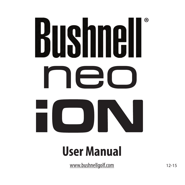# **®** nec ON

## **User Manual**

www.bushnellgolf.com 12-15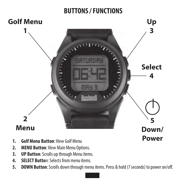#### **BUTTONS / FUNCTIONS**



- **1. Golf Menu Button**: View Golf Menu
- **2. MENU Button**: View Main Menu Options.
- **3. UP Button**: Scrolls up through Menu items.
- **4. SELECT Butto**n: Selects from menu items.
- **5. DOWN Button**: Scrolls down through menu items. Press & hold (7 seconds) to power on/off.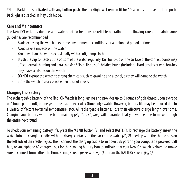\*Note: Backlight is activated with any button push. The backlight will remain lit for 10 seconds after last button push. Backlight is disabled in Play Golf Mode.

#### **Care and Maintenance**

The Neo iON watch is durable and waterproof. To help ensure reliable operation, the following care and maintenance guidelines are recommended :

- Avoid exposing the watch to extreme environmental conditions for a prolonged period of time.
- Avoid severe impacts on the watch.
- You may clean the watch occasionally with a soft, damp cloth.
- Brush the clip contacts at the bottom of the watch regularly. Dirt build-up on the surface of the contact points may affect normal charging and data transfer. \*Note: Use a soft-bristled brush (included). Hard bristles or wire brushes may leave scratches on the watch.
- DO NOT expose the watch to strong chemicals such as gasoline and alcohol, as they will damage the watch.
- Store the watch in a dry place when it is not in use.

#### **Charging the Battery**

The rechargeable battery of the Neo iON Watch is long lasting and provides up to 3 rounds of golf (based upon average of 4 hours per round), or one year of use as an everyday (time only) watch. However, battery life may be reduced due to a variety of factors (external temperature, etc). All rechargeable batteries lose their effective charge length over time. Charging your battery with one bar remaining *(Fig. 1, next page)* will guarantee that you will be able to make through the entire next round.

To check your remaining battery life, press the **MENU** button (2) and select BATTERY. To recharge the battery, insert the watch into the charging cradle, with the charge contacts on the back of the watch *(Fig 2)* lined up with the charge pins on the left side of the cradle *(Fig 3)*. Then, connect the charging cradle to an open USB port on your computer, a powered USB hub, or smartphone AC charger. Look for the scrolling battery icon to indicate that your Neo iON watch is charging (make sure to connect from either the Home (Time) screen *(as seen on pg. 1)* or from the BATTERY screen *(Fig 1)*.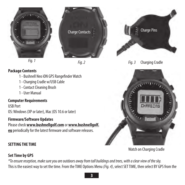







#### **Package Contents**

- 1 Bushnell Neo iON GPS Rangefinder Watch
- 1 Charging Cradle w/USB Cable
- 1 Contact Cleaning Brush
- 1 User Manual

#### **Computer Requirements**

USB Port OS: Windows (XP or later), Mac (OS 10.6 or later)

#### **Firmware/Software Updates**

Please check **www.bushnellgolf.com** or **www.bushnellgolf. eu** periodically for the latest firmware and software releases.

#### **SETTING THE TIME**



*Fig. 3* Charging Cradle



Watch on Charging Cradle

#### **Set Time by GPS**

*\*To ensure reception, make sure you are outdoors away from tall buildings and trees, with a clear view of the sky.* This is the easiest way to set the time. From the TIME Options Menu *(Fig. 4)*, select SET TIME, then select BY GPS from the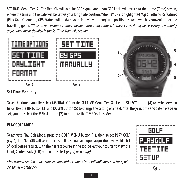SET TIME Menu *(Fig. 5)*. The Neo iON will acquire GPS signal, and upon GPS Lock, will return to the Home (Time) screen, where the time and the date will be set via your longitude position. When BY GPS is highlighted *(Fig 5)*, other GPS features (Play Golf, Odometer, GPS Status) will update your time via your longitude position as well, which is convenient for the travelling golfer. *\*Note: In rare instances, time zone boundaries may conflict. In these cases, it may be necessary to manually adjust the time as detailed in the Set Time Manually section.*



#### **Set Time Manually**

To set the time manually, select MANUALLY from the SET TIME Menu *(Fig. 5)*. Use the **SELECT** button **(4)** to cycle between fields. Use the **UP** button **(3)** and **DOWN** button **(5)** to change the setting of a field. After the year, time and date have been set, you can select the **MENU** button **(2)** to return to the TIME Options Menu.

#### **PLAY GOLF MODE**

To activate Play Golf Mode, press the **GOLF MENU** button **(1)**, then select PLAY GOLF *(Fig. 6)*. The Neo iON will search for a satellite signal, and upon acquisition will yield a list of local course results, with the nearest course at the top. Select your course to view the Front, Center, Back (FCB) screen for Hole 1 *(Fig. 7, next page)*.

*\*To ensure reception, make sure you are outdoors away from tall buildings and trees, with a clear view of the sky. Fig. 6*

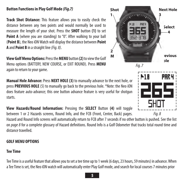#### **Button Functions in Play Golf Mode** *(Fig.7)*

**Track Shot Distance:** This feature allows you to easily check the distance between any two points and would normally be used to **Select measure the length of select Point A** (where you are standing) to "0". After walking to your ball (**Point B**), the Neo iON Watch will display the distance between **Point A** and **Point B** in a straight line *(Fig. 8)*.

**Mew Golf Menu Options:** Press the **MENU** button **(2)** to view the Golf **Holen Court Court Act Menu options** (BATTERY, NEW COURSE, or EXIT ROUND). Press **MENU** *Fig. 7 Fig. 7* again to return to your game.

**Manual Hole Advance:** Press **NEXT HOLE (3)** to manually advance to the next hole, or press **PREVIOUS HOLE** (5) to manually go back to the previous hole. \*Note: the Neo iON does feature auto-advance; this one button advance feature is very useful for shotgun starts.

**View Hazards/Round Information:** Pressing the **SELECT** Button **(4)** will toggle between 1 or 2 Hazards screens, Round Info, and the FCB (Front, Center, Back) pages. *Fig. 8*

Hazard and Round Info screens will automatically return to FCB after 7 seconds if no other button is pushed. See the list on *page 8* for a complete glossary of Hazard definitions. Round Info is a Golf Odometer that tracks total round time and distance travelled.

#### **GOLF MENU OPTIONS**

#### **Tee Time**

Tee Time is a useful feature that allows you to set a tee time up to 1 week (6 days, 23 hours, 59 minutes) in advance. When a Tee Time is set, the Neo iON watch will automatically enter Play Golf mode, and search for local courses 7 minutes prior



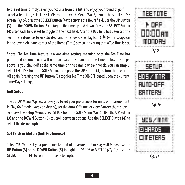to the set time. Simply select your course from the list, and enjoy your round of golf! To set a Tee Time, select TEE TIME from the GOLF Menu *(Fig. 6)*. From the set TEE TIME screen *(Fig. 9)*, press the **SELECT** Button **(4)** to activate the Hours field. Use the **UP** Button **(3)** and the **DOWN** Button **(5)** to toggle the time up and down. Press the **SELECT** Button **(4)** after each field is set to toggle to the next field. After the Day field has been set, the Tee Time feature has been activated, and will show ON. A Flag Icon ( $\blacktriangleright$  )will also appear in the lower left-hand corner of the Home (Time) screen indicating that a Tee Time is set.

\*Note: The Tee Time feature is a one-time setting, meaning once the Tee Time has performed its function, it will not reactivate. To set another Tee Time, follow the steps above. If you play golf at the same time on the same day each week, you can simply select TEE TIME from the GOLF Menu, then press the **UP** Button **(3)** to turn the Tee Time ON again (pressing the **UP** Button **(3)** toggles Tee Time ON/OFF based upon the current Time/Day settings).

#### **Golf Setup**

The SETUP Menu *(Fig. 10)* allows you to set your preferences for units of measurement in Play Golf mode (Yards or Meters), set the Auto-Off time, or view Battery charge level. To access the Setup Menu, select SETUP from the GOLF Menu *(Fig. 6)*. Use the **UP** Button **(3)** and the **DOWN** Button **(5)** to scroll between options. Use the **SELECT** Button **(4)** to select the desired option.

#### **Set Yards or Meters (Golf Preference)**

Select YDS/M to set your preference for unit of measurement in Play Golf Mode. Use the **UP** Button **(3)** or the **DOWN** Button **(5)** to highlight YARDS or METERS *(Fig 11)*. Use the **SELECT** Button (4) to confirm the selected option.





*Fig. 10*

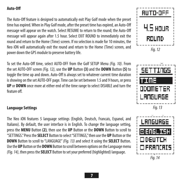#### **Auto-Off**

The Auto-Off feature is designed to automatically exit Play Golf mode when the preset time has expired. When in Play Golf mode, after the preset time has expired, an Auto-Off message will appear on the watch. Select RESUME to return to the round; the Auto-Off message will appear again after 1.5 hour. Select EXIT ROUND to immediately exit the round and return to the Home (Time) screen. If no selection is made for 10 minutes, the Neo iON will automatically exit the round and return to the Home (Time) screen, and power down the GPS module to preserve battery life.

To set the Auto-Off time, select AUTO-OFF from the Golf SETUP Menu *(Fig. 10)*. From the set AUTO-OFF screen *(Fig. 12)*, use the **UP** Button **(3)** and the **DOWN** Button **(5)** to toggle the time up and down. Auto-Off is always set to whatever current time duration is showing on the set AUTO-OFF page. Time can be set between 1.5 and 9 hours, or press **UP** or **DOWN** once more at either end of the time range to select DISABLE and turn the feature off.

#### **Language Settings**

The Neo iON features 5 language settings (English, Deutsch, Francais, Espanol, and Italiano). By default, the user interface is in English. To change the language setting, press the **MENU** Button **(2)**, then use the **UP** Button or the **DOWN** Button to scroll to "SETTINGS." Press the **SELECT** Button to select "SETTINGS," then use the **UP** Button or the **DOWN** Button to scroll to "LANGUAGE" *(Fig. 13)* and select it using the **SELECT** Button. Use the **UP** Button or the **DOWN** Button to scroll between options on the Language menu *(Fig. 14)*, then press the **SELECT** Button to set your preferred (highlighted) language.





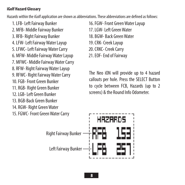#### **iGolf Hazard Glossary**

Hazards within the iGolf application are shown as abbreviations. These abbreviations are defined as follows:

- 1. LFB- Left Fairway Bunker 16. FGW- Front Green Water Layup 2. MFB- Middle Fairway Bunker 17. LGW- Left Green Water 3. RFB- Right Fairway Bunker 18. BGW- Back Green Water 4. LFW- Left Fairway Water Layup 19. CRK- Creek Layup 5. LFWC- Left Fairway Water Carry 20. CRKC- Creek Carry 6. MFW- Middle Fairway Water Layup 21. EOF- End of Fairway 7. MFWC- Middle Fairway Water Carry 8. RFW- Right Fairway Water Layup The Neo iON will provide up to 4 hazard 9. RFWC- Right Fairway Water Carry The Neo iON will provide up to 4 hazard 10. FGB- Front Green Bunker 13. BGB-Back Green Bunker 14. RGW- Right Green Water
- 15. FGWC- Front Green Water Carry
- 
- 
- 
- 
- 
- 

to cycle between FCB, Hazards (up to 2<br>11. RGB- Right Green Bunker screens) & the Round Info Odometer.<br>12. LGB- Left Green Bunker

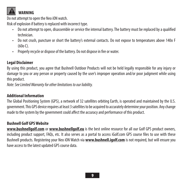

 **WARNING**

Do not attempt to open the Neo iON watch

Risk of explosion if battery is replaced with incorrect type.

- Do not attempt to open, disassemble or service the internal battery. The battery must be replaced by a qualified technician.
- Do not crush, puncture or short the battery's external contacts. Do not expose to temperatures above 140o F  $(600 \cap$
- Properly recycle or dispose of the battery. Do not dispose in fire or water.

#### **Legal Disclaimer**

By using this product, you agree that Bushnell Outdoor Products will not be held legally responsible for any injury or damage to you or any person or property caused by the user's improper operation and/or poor judgment while using this product.

*Note: See Limited Warranty for other limitations to our liability.*

#### **Additional Information**

The Global Positioning System (GPS), a network of 32 satellites orbiting Earth, is operated and maintained by the U.S. government. This GPS device requires at least 3 satellites to be acquired to accurately determine your position. Any change made to the system by the government could affect the accuracy and performance of this product.

#### **Bushnell Golf GPS Website**

**www.bushnellgolf.com** or **www.bushnellgolf.eu** is the best online resource for all our Golf GPS product owners, including product support, FAQs, etc. It also serves as a portal to access iGolf.com GPS course files to use with these Bushnell products. Registering your Neo iON Watch via **www.bushnell.igolf.com** is not required, but will ensure you have access to the latest updated GPS course data.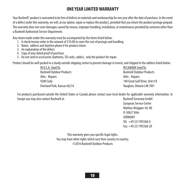#### **ONE YEAR LIMITED WARRANTY**

Your Bushnell" product is warranted to be free of defects in materials and workmanship for one year after the date of purchase. In the event of a defect under this warranty, we will, at our option, repair or replace the product, provided that you return the product postage prepaid. This warranty does not cover damages caused by misuse, improper handling, installation, or maintenance provided by someone other than a Bushnell Authorized Service Department.

Any return made under this warranty must be accompanied by the items listed below: 1. A check/money order in the amount of \$10.00 to cover the cost of postage and handling.

- 
- 2. Name, address and daytime phone # for product return.
- 3. An explanation of the defect.
- 4. Copy of your dated proof of purchase.
- 5. Do not send in accessories (batteries, SD cards, cables), only the product for repair.

Product should be well packed in a sturdy outside shipping carton to prevent damage in transit, and shipped to the address listed below:

 Bushnell Outdoor Products Bushnell Outdoor Products Attn.: Repairs **Attn.: Repairs** Overland Park, Kansas 66214 Vaughan, Ontario L4K 5W1

IN CANADA Send To: 9200 Cody 140 Great Gulf Drive, Unit # B

 For products purchased outside the United States or Canada please contact your local dealer for applicable warranty information. In Europe you may also contact Bushnell at: Bushnell Germany GmbH

 European Service Centre Mathias-Brüggen-Str. 80 D-50827 Köln **GERMANY**  Tél: +49 221 995568-0 Fax: +49 221 995568-20

This warranty gives you specific legal rights. You may have other rights which vary from country to country. ©2016 Bushnell Outdoor Products